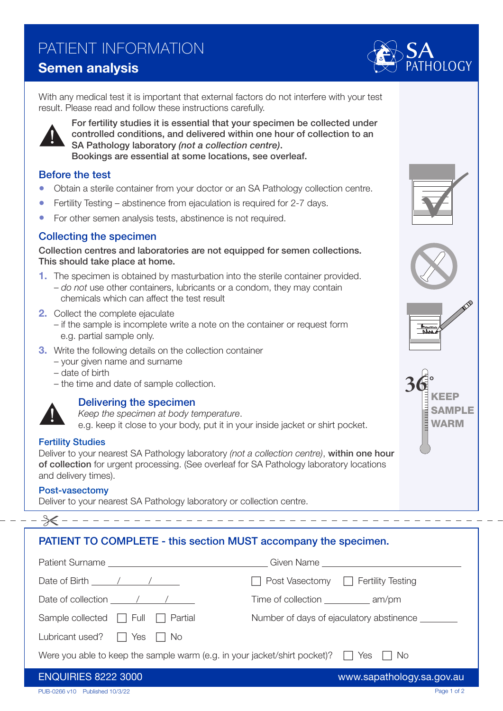## PATIENT INFORMATION

### Semen analysis

With any medical test it is important that external factors do not interfere with your test result. Please read and follow these instructions carefully.



For fertility studies it is essential that your specimen be collected under controlled conditions, and delivered within one hour of collection to an SA Pathology laboratory *(not a collection centre)*. Bookings are essential at some locations, see overleaf.

### Before the test

- Obtain a sterile container from your doctor or an SA Pathology collection centre.
- Fertility Testing abstinence from ejaculation is required for 2-7 days.
- For other semen analysis tests, abstinence is not required.

### Collecting the specimen

Collection centres and laboratories are not equipped for semen collections. This should take place at home.

- 1. The specimen is obtained by masturbation into the sterile container provided. – *do not* use other containers, lubricants or a condom, they may contain chemicals which can affect the test result
- 2. Collect the complete ejaculate
	- if the sample is incomplete write a note on the container or request form e.g. partial sample only.
- **3.** Write the following details on the collection container
	- your given name and surname
	- date of birth
	- the time and date of sample collection.



### Delivering the specimen

*Keep the specimen at body temperature*.

e.g. keep it close to your body, put it in your inside jacket or shirt pocket.

### Fertility Studies

Deliver to your nearest SA Pathology laboratory *(not a collection centre)*, within one hour of collection for urgent processing. (See overleaf for SA Pathology laboratory locations and delivery times).

### Post-vasectomy

Deliver to your nearest SA Pathology laboratory or collection centre.

### PATIENT TO COMPLETE - this section MUST accompany the specimen.

| Date of Birth $\frac{1}{2}$ / / $\frac{1}{2}$                                                  | $\Box$ Post Vasectomy $\Box$ Fertility Testing     |
|------------------------------------------------------------------------------------------------|----------------------------------------------------|
| Date of collection $\sqrt{2\pi}$                                                               | Time of collection ______________ am/pm            |
| Sample collected $\Box$ Full $\Box$ Partial                                                    | Number of days of ejaculatory abstinence _________ |
| Lubricant used? $\Box$ Yes $\Box$ No                                                           |                                                    |
| Were you able to keep the sample warm (e.g. in your jacket/shirt pocket)? $\Box$ Yes $\Box$ No |                                                    |
| <b>ENQUIRIES 8222 3000</b>                                                                     | www.sapathology.sa.gov.au                          |